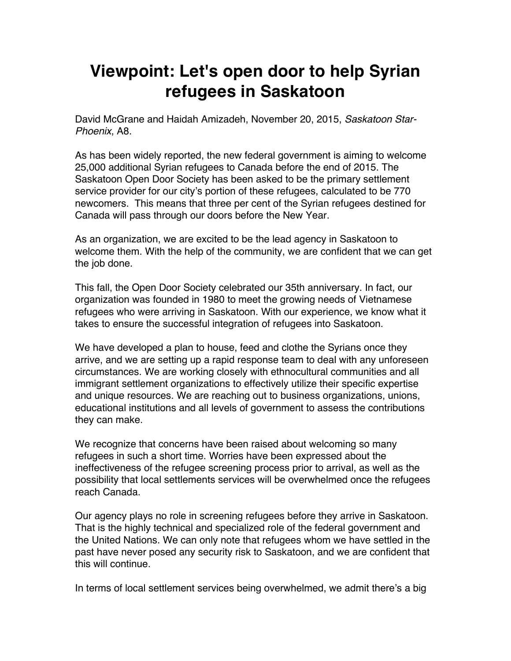## **Viewpoint: Let's open door to help Syrian refugees in Saskatoon**

David McGrane and Haidah Amizadeh, November 20, 2015, *Saskatoon Star-Phoenix*, A8.

As has been widely reported, the new federal government is aiming to welcome 25,000 additional Syrian refugees to Canada before the end of 2015. The Saskatoon Open Door Society has been asked to be the primary settlement service provider for our city's portion of these refugees, calculated to be 770 newcomers. This means that three per cent of the Syrian refugees destined for Canada will pass through our doors before the New Year.

As an organization, we are excited to be the lead agency in Saskatoon to welcome them. With the help of the community, we are confident that we can get the job done.

This fall, the Open Door Society celebrated our 35th anniversary. In fact, our organization was founded in 1980 to meet the growing needs of Vietnamese refugees who were arriving in Saskatoon. With our experience, we know what it takes to ensure the successful integration of refugees into Saskatoon.

We have developed a plan to house, feed and clothe the Syrians once they arrive, and we are setting up a rapid response team to deal with any unforeseen circumstances. We are working closely with ethnocultural communities and all immigrant settlement organizations to effectively utilize their specific expertise and unique resources. We are reaching out to business organizations, unions, educational institutions and all levels of government to assess the contributions they can make.

We recognize that concerns have been raised about welcoming so many refugees in such a short time. Worries have been expressed about the ineffectiveness of the refugee screening process prior to arrival, as well as the possibility that local settlements services will be overwhelmed once the refugees reach Canada.

Our agency plays no role in screening refugees before they arrive in Saskatoon. That is the highly technical and specialized role of the federal government and the United Nations. We can only note that refugees whom we have settled in the past have never posed any security risk to Saskatoon, and we are confident that this will continue.

In terms of local settlement services being overwhelmed, we admit there's a big